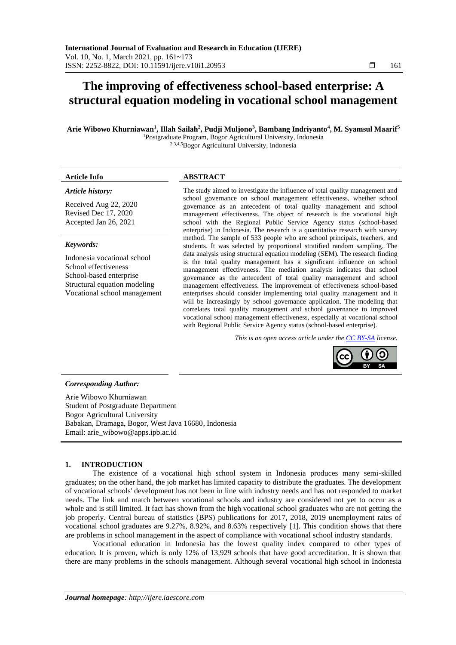# **The improving of effectiveness school-based enterprise: A structural equation modeling in vocational school management**

**Arie Wibowo Khurniawan<sup>1</sup> , Illah Sailah<sup>2</sup> , Pudji Muljono<sup>3</sup> , Bambang Indriyanto<sup>4</sup> , M. Syamsul Maarif<sup>5</sup>** <sup>1</sup>Postgraduate Program, Bogor Agricultural University, Indonesia

2,3,4,5Bogor Agricultural University, Indonesia

#### *Article history:*

Received Aug 22, 2020 Revised Dec 17, 2020 Accepted Jan 26, 2021

#### *Keywords:*

Indonesia vocational school School effectiveness School-based enterprise Structural equation modeling Vocational school management

### **Article Info ABSTRACT**

The study aimed to investigate the influence of total quality management and school governance on school management effectiveness, whether school governance as an antecedent of total quality management and school management effectiveness. The object of research is the vocational high school with the Regional Public Service Agency status (school-based enterprise) in Indonesia. The research is a quantitative research with survey method. The sample of 533 people who are school principals, teachers, and students. It was selected by proportional stratified random sampling. The data analysis using structural equation modeling (SEM). The research finding is the total quality management has a significant influence on school management effectiveness. The mediation analysis indicates that school governance as the antecedent of total quality management and school management effectiveness. The improvement of effectiveness school-based enterprises should consider implementing total quality management and it will be increasingly by school governance application. The modeling that correlates total quality management and school governance to improved vocational school management effectiveness, especially at vocational school with Regional Public Service Agency status (school-based enterprise).

*This is an open access article under the [CC BY-SA](https://creativecommons.org/licenses/by-sa/4.0/) license.*



# *Corresponding Author:*

Arie Wibowo Khurniawan Student of Postgraduate Department Bogor Agricultural University Babakan, Dramaga, Bogor, West Java 16680, Indonesia Email: arie\_wibowo@apps.ipb.ac.id

### **1. INTRODUCTION**

The existence of a vocational high school system in Indonesia produces many semi-skilled graduates; on the other hand, the job market has limited capacity to distribute the graduates. The development of vocational schools' development has not been in line with industry needs and has not responded to market needs. The link and match between vocational schools and industry are considered not yet to occur as a whole and is still limited. It fact has shown from the high vocational school graduates who are not getting the job properly. Central bureau of statistics (BPS) publications for 2017, 2018, 2019 unemployment rates of vocational school graduates are 9.27%, 8.92%, and 8.63% respectively [1]. This condition shows that there are problems in school management in the aspect of compliance with vocational school industry standards.

Vocational education in Indonesia has the lowest quality index compared to other types of education. It is proven, which is only 12% of 13,929 schools that have good accreditation. It is shown that there are many problems in the schools management. Although several vocational high school in Indonesia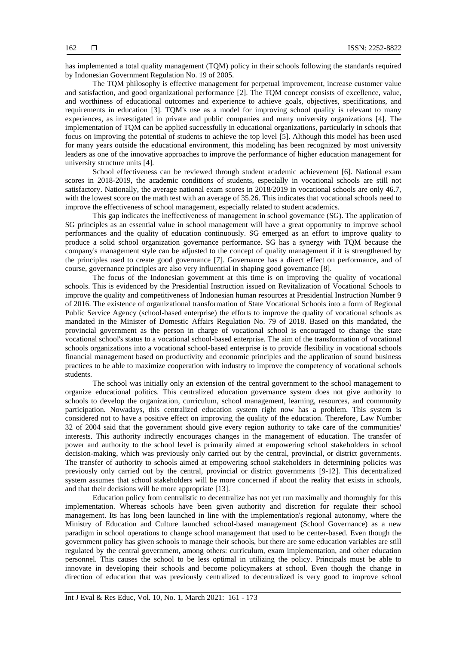has implemented a total quality management (TQM) policy in their schools following the standards required by Indonesian Government Regulation No. 19 of 2005.

The TQM philosophy is effective management for perpetual improvement, increase customer value and satisfaction, and good organizational performance [2]. The TQM concept consists of excellence, value, and worthiness of educational outcomes and experience to achieve goals, objectives, specifications, and requirements in education [3]. TQM's use as a model for improving school quality is relevant to many experiences, as investigated in private and public companies and many university organizations [4]. The implementation of TQM can be applied successfully in educational organizations, particularly in schools that focus on improving the potential of students to achieve the top level [5]. Although this model has been used for many years outside the educational environment, this modeling has been recognized by most university leaders as one of the innovative approaches to improve the performance of higher education management for university structure units [4].

School effectiveness can be reviewed through student academic achievement [6]. National exam scores in 2018-2019, the academic conditions of students, especially in vocational schools are still not satisfactory. Nationally, the average national exam scores in 2018/2019 in vocational schools are only 46.7, with the lowest score on the math test with an average of 35.26. This indicates that vocational schools need to improve the effectiveness of school management, especially related to student academics.

This gap indicates the ineffectiveness of management in school governance (SG). The application of SG principles as an essential value in school management will have a great opportunity to improve school performances and the quality of education continuously. SG emerged as an effort to improve quality to produce a solid school organization governance performance. SG has a synergy with TQM because the company's management style can be adjusted to the concept of quality management if it is strengthened by the principles used to create good governance [7]. Governance has a direct effect on performance, and of course, governance principles are also very influential in shaping good governance [8].

The focus of the Indonesian government at this time is on improving the quality of vocational schools. This is evidenced by the Presidential Instruction issued on Revitalization of Vocational Schools to improve the quality and competitiveness of Indonesian human resources at Presidential Instruction Number 9 of 2016. The existence of organizational transformation of State Vocational Schools into a form of Regional Public Service Agency (school-based enterprise) the efforts to improve the quality of vocational schools as mandated in the Minister of Domestic Affairs Regulation No. 79 of 2018. Based on this mandated, the provincial government as the person in charge of vocational school is encouraged to change the state vocational school's status to a vocational school-based enterprise. The aim of the transformation of vocational schools organizations into a vocational school-based enterprise is to provide flexibility in vocational schools financial management based on productivity and economic principles and the application of sound business practices to be able to maximize cooperation with industry to improve the competency of vocational schools students.

The school was initially only an extension of the central government to the school management to organize educational politics. This centralized education governance system does not give authority to schools to develop the organization, curriculum, school management, learning, resources, and community participation. Nowadays, this centralized education system right now has a problem. This system is considered not to have a positive effect on improving the quality of the education. Therefore, Law Number 32 of 2004 said that the government should give every region authority to take care of the communities' interests. This authority indirectly encourages changes in the management of education. The transfer of power and authority to the school level is primarily aimed at empowering school stakeholders in school decision-making, which was previously only carried out by the central, provincial, or district governments. The transfer of authority to schools aimed at empowering school stakeholders in determining policies was previously only carried out by the central, provincial or district governments [9-12]. This decentralized system assumes that school stakeholders will be more concerned if about the reality that exists in schools, and that their decisions will be more appropriate [13].

Education policy from centralistic to decentralize has not yet run maximally and thoroughly for this implementation. Whereas schools have been given authority and discretion for regulate their school management. Its has long been launched in line with the implementation's regional autonomy, where the Ministry of Education and Culture launched school-based management (School Governance) as a new paradigm in school operations to change school management that used to be center-based. Even though the government policy has given schools to manage their schools, but there are some education variables are still regulated by the central government, among others: curriculum, exam implementation, and other education personnel. This causes the school to be less optimal in utilizing the policy. Principals must be able to innovate in developing their schools and become policymakers at school. Even though the change in direction of education that was previously centralized to decentralized is very good to improve school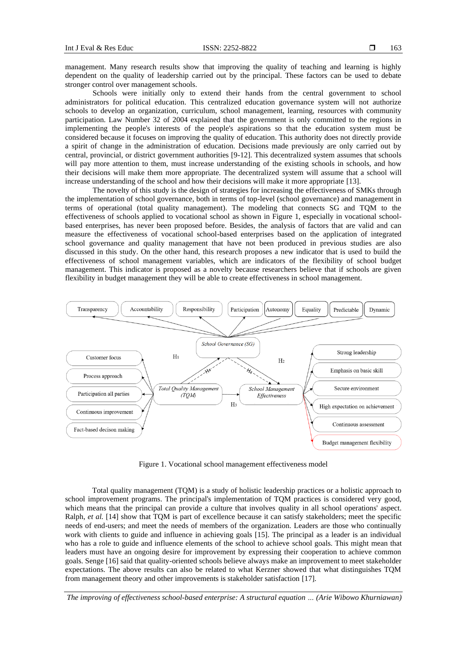management. Many research results show that improving the quality of teaching and learning is highly dependent on the quality of leadership carried out by the principal. These factors can be used to debate stronger control over management schools.

Schools were initially only to extend their hands from the central government to school administrators for political education. This centralized education governance system will not authorize schools to develop an organization, curriculum, school management, learning, resources with community participation. Law Number 32 of 2004 explained that the government is only committed to the regions in implementing the people's interests of the people's aspirations so that the education system must be considered because it focuses on improving the quality of education. This authority does not directly provide a spirit of change in the administration of education. Decisions made previously are only carried out by central, provincial, or district government authorities [9-12]. This decentralized system assumes that schools will pay more attention to them, must increase understanding of the existing schools in schools, and how their decisions will make them more appropriate. The decentralized system will assume that a school will increase understanding of the school and how their decisions will make it more appropriate [13].

The novelty of this study is the design of strategies for increasing the effectiveness of SMKs through the implementation of school governance, both in terms of top-level (school governance) and management in terms of operational (total quality management). The modeling that connects SG and TQM to the effectiveness of schools applied to vocational school as shown in Figure 1, especially in vocational schoolbased enterprises, has never been proposed before. Besides, the analysis of factors that are valid and can measure the effectiveness of vocational school-based enterprises based on the application of integrated school governance and quality management that have not been produced in previous studies are also discussed in this study. On the other hand, this research proposes a new indicator that is used to build the effectiveness of school management variables, which are indicators of the flexibility of school budget management. This indicator is proposed as a novelty because researchers believe that if schools are given flexibility in budget management they will be able to create effectiveness in school management.



Figure 1. Vocational school management effectiveness model

Total quality management (TQM) is a study of holistic leadership practices or a holistic approach to school improvement programs. The principal's implementation of TQM practices is considered very good, which means that the principal can provide a culture that involves quality in all school operations' aspect. Ralph, *et al.* [14] show that TQM is part of excellence because it can satisfy stakeholders; meet the specific needs of end-users; and meet the needs of members of the organization. Leaders are those who continually work with clients to guide and influence in achieving goals [15]. The principal as a leader is an individual who has a role to guide and influence elements of the school to achieve school goals. This might mean that leaders must have an ongoing desire for improvement by expressing their cooperation to achieve common goals. Senge [16] said that quality-oriented schools believe always make an improvement to meet stakeholder expectations. The above results can also be related to what Kerzner showed that what distinguishes TQM from management theory and other improvements is stakeholder satisfaction [17].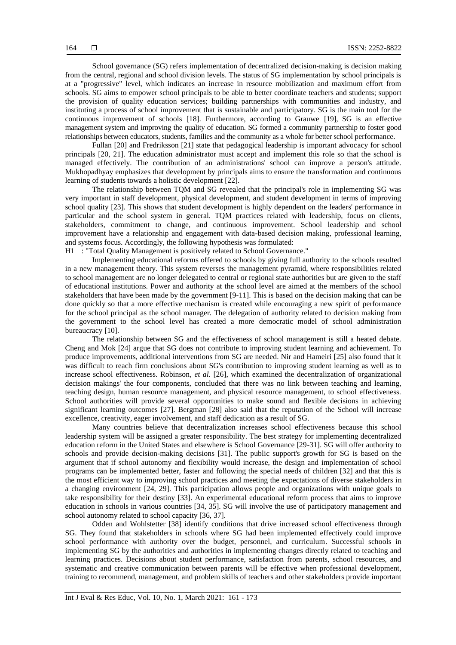School governance (SG) refers implementation of decentralized decision-making is decision making from the central, regional and school division levels. The status of SG implementation by school principals is at a "progressive" level, which indicates an increase in resource mobilization and maximum effort from schools. SG aims to empower school principals to be able to better coordinate teachers and students; support the provision of quality education services; building partnerships with communities and industry, and instituting a process of school improvement that is sustainable and participatory. SG is the main tool for the continuous improvement of schools [18]. Furthermore, according to Grauwe [19], SG is an effective management system and improving the quality of education. SG formed a community partnership to foster good relationships between educators, students, families and the community as a whole for better school performance.

Fullan [20] and Fredriksson [21] state that pedagogical leadership is important advocacy for school principals [20, 21]. The education administrator must accept and implement this role so that the school is managed effectively. The contribution of an administrations' school can improve a person's attitude. Mukhopadhyay emphasizes that development by principals aims to ensure the transformation and continuous learning of students towards a holistic development [22].

The relationship between TQM and SG revealed that the principal's role in implementing SG was very important in staff development, physical development, and student development in terms of improving school quality [23]. This shows that student development is highly dependent on the leaders' performance in particular and the school system in general. TQM practices related with leadership, focus on clients, stakeholders, commitment to change, and continuous improvement. School leadership and school improvement have a relationship and engagement with data-based decision making, professional learning, and systems focus. Accordingly, the following hypothesis was formulated:

H1 : "Total Quality Management is positively related to School Governance."

Implementing educational reforms offered to schools by giving full authority to the schools resulted in a new management theory. This system reverses the management pyramid, where responsibilities related to school management are no longer delegated to central or regional state authorities but are given to the staff of educational institutions. Power and authority at the school level are aimed at the members of the school stakeholders that have been made by the government [9-11]. This is based on the decision making that can be done quickly so that a more effective mechanism is created while encouraging a new spirit of performance for the school principal as the school manager. The delegation of authority related to decision making from the government to the school level has created a more democratic model of school administration bureaucracy [10].

The relationship between SG and the effectiveness of school management is still a heated debate. Cheng and Mok [24] argue that SG does not contribute to improving student learning and achievement. To produce improvements, additional interventions from SG are needed. Nir and Hameiri [25] also found that it was difficult to reach firm conclusions about SG's contribution to improving student learning as well as to increase school effectiveness. Robinson, *et al.* [26], which examined the decentralization of organizational decision makings' the four components, concluded that there was no link between teaching and learning, teaching design, human resource management, and physical resource management, to school effectiveness. School authorities will provide several opportunities to make sound and flexible decisions in achieving significant learning outcomes [27]. Bergman [28] also said that the reputation of the School will increase excellence, creativity, eager involvement, and staff dedication as a result of SG.

Many countries believe that decentralization increases school effectiveness because this school leadership system will be assigned a greater responsibility. The best strategy for implementing decentralized education reform in the United States and elsewhere is School Governance [29-31]. SG will offer authority to schools and provide decision-making decisions [31]. The public support's growth for SG is based on the argument that if school autonomy and flexibility would increase, the design and implementation of school programs can be implemented better, faster and following the special needs of children [32] and that this is the most efficient way to improving school practices and meeting the expectations of diverse stakeholders in a changing environment [24, 29]. This participation allows people and organizations with unique goals to take responsibility for their destiny [33]. An experimental educational reform process that aims to improve education in schools in various countries [34, 35]. SG will involve the use of participatory management and school autonomy related to school capacity [36, 37].

Odden and Wohlstetter [38] identify conditions that drive increased school effectiveness through SG. They found that stakeholders in schools where SG had been implemented effectively could improve school performance with authority over the budget, personnel, and curriculum. Successful schools in implementing SG by the authorities and authorities in implementing changes directly related to teaching and learning practices. Decisions about student performance, satisfaction from parents, school resources, and systematic and creative communication between parents will be effective when professional development, training to recommend, management, and problem skills of teachers and other stakeholders provide important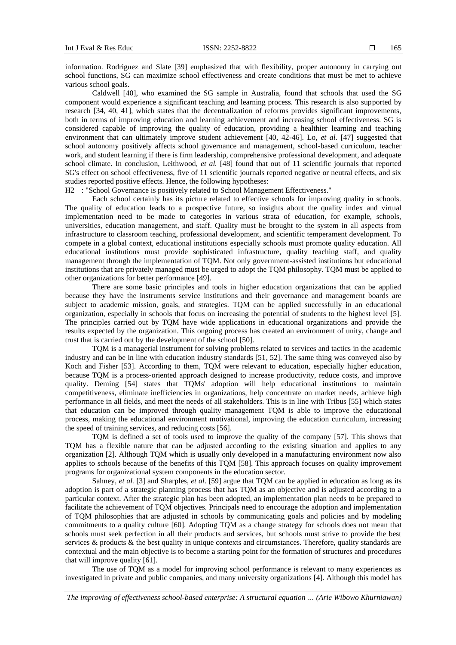information. Rodriguez and Slate [39] emphasized that with flexibility, proper autonomy in carrying out school functions, SG can maximize school effectiveness and create conditions that must be met to achieve various school goals.

Caldwell [40], who examined the SG sample in Australia, found that schools that used the SG component would experience a significant teaching and learning process. This research is also supported by research [34, 40, 41], which states that the decentralization of reforms provides significant improvements, both in terms of improving education and learning achievement and increasing school effectiveness. SG is considered capable of improving the quality of education, providing a healthier learning and teaching environment that can ultimately improve student achievement [40, 42-46]. Lo, *et al.* [47] suggested that school autonomy positively affects school governance and management, school-based curriculum, teacher work, and student learning if there is firm leadership, comprehensive professional development, and adequate school climate. In conclusion, Leithwood, *et al.* [48] found that out of 11 scientific journals that reported SG's effect on school effectiveness, five of 11 scientific journals reported negative or neutral effects, and six studies reported positive effects. Hence, the following hypotheses:

H2 : "School Governance is positively related to School Management Effectiveness."

Each school certainly has its picture related to effective schools for improving quality in schools. The quality of education leads to a prospective future, so insights about the quality index and virtual implementation need to be made to categories in various strata of education, for example, schools, universities, education management, and staff. Quality must be brought to the system in all aspects from infrastructure to classroom teaching, professional development, and scientific temperament development. To compete in a global context, educational institutions especially schools must promote quality education. All educational institutions must provide sophisticated infrastructure, quality teaching staff, and quality management through the implementation of TQM. Not only government-assisted institutions but educational institutions that are privately managed must be urged to adopt the TQM philosophy. TQM must be applied to other organizations for better performance [49].

There are some basic principles and tools in higher education organizations that can be applied because they have the instruments service institutions and their governance and management boards are subject to academic mission, goals, and strategies. TQM can be applied successfully in an educational organization, especially in schools that focus on increasing the potential of students to the highest level [5]. The principles carried out by TQM have wide applications in educational organizations and provide the results expected by the organization. This ongoing process has created an environment of unity, change and trust that is carried out by the development of the school [50].

TQM is a managerial instrument for solving problems related to services and tactics in the academic industry and can be in line with education industry standards [51, 52]. The same thing was conveyed also by Koch and Fisher [53]. According to them, TQM were relevant to education, especially higher education, because TQM is a process-oriented approach designed to increase productivity, reduce costs, and improve quality. Deming [54] states that TQMs' adoption will help educational institutions to maintain competitiveness, eliminate inefficiencies in organizations, help concentrate on market needs, achieve high performance in all fields, and meet the needs of all stakeholders. This is in line with Tribus [55] which states that education can be improved through quality management TQM is able to improve the educational process, making the educational environment motivational, improving the education curriculum, increasing the speed of training services, and reducing costs [56].

TQM is defined a set of tools used to improve the quality of the company [57]. This shows that TQM has a flexible nature that can be adjusted according to the existing situation and applies to any organization [2]. Although TQM which is usually only developed in a manufacturing environment now also applies to schools because of the benefits of this TQM [58]. This approach focuses on quality improvement programs for organizational system components in the education sector.

Sahney, *et al.* [3] and Sharples, *et al*. [59] argue that TQM can be applied in education as long as its adoption is part of a strategic planning process that has TQM as an objective and is adjusted according to a particular context. After the strategic plan has been adopted, an implementation plan needs to be prepared to facilitate the achievement of TQM objectives. Principals need to encourage the adoption and implementation of TQM philosophies that are adjusted in schools by communicating goals and policies and by modeling commitments to a quality culture [60]. Adopting TQM as a change strategy for schools does not mean that schools must seek perfection in all their products and services, but schools must strive to provide the best services & products & the best quality in unique contexts and circumstances. Therefore, quality standards are contextual and the main objective is to become a starting point for the formation of structures and procedures that will improve quality [61].

The use of TQM as a model for improving school performance is relevant to many experiences as investigated in private and public companies, and many university organizations [4]. Although this model has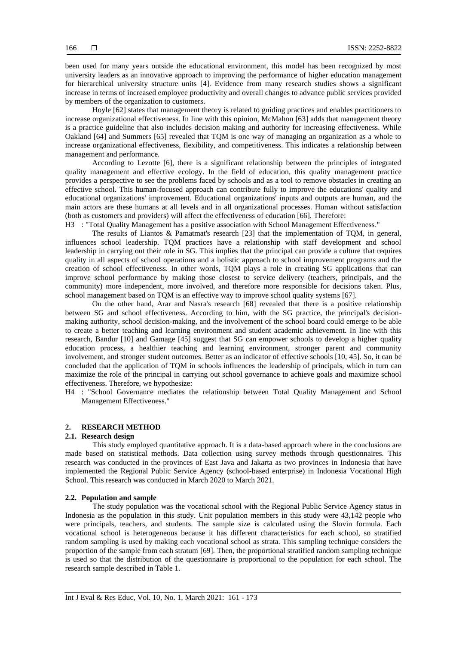been used for many years outside the educational environment, this model has been recognized by most university leaders as an innovative approach to improving the performance of higher education management for hierarchical university structure units [4]. Evidence from many research studies shows a significant increase in terms of increased employee productivity and overall changes to advance public services provided by members of the organization to customers.

Hoyle [62] states that management theory is related to guiding practices and enables practitioners to increase organizational effectiveness. In line with this opinion, McMahon [63] adds that management theory is a practice guideline that also includes decision making and authority for increasing effectiveness. While Oakland [64] and Summers [65] revealed that TQM is one way of managing an organization as a whole to increase organizational effectiveness, flexibility, and competitiveness. This indicates a relationship between management and performance.

According to Lezotte [6], there is a significant relationship between the principles of integrated quality management and effective ecology. In the field of education, this quality management practice provides a perspective to see the problems faced by schools and as a tool to remove obstacles in creating an effective school. This human-focused approach can contribute fully to improve the educations' quality and educational organizations' improvement. Educational organizations' inputs and outputs are human, and the main actors are these humans at all levels and in all organizational processes. Human without satisfaction (both as customers and providers) will affect the effectiveness of education [66]. Therefore:

H3 : "Total Quality Management has a positive association with School Management Effectiveness."

The results of Liantos & Pamatmat's research [23] that the implementation of TQM, in general, influences school leadership. TQM practices have a relationship with staff development and school leadership in carrying out their role in SG. This implies that the principal can provide a culture that requires quality in all aspects of school operations and a holistic approach to school improvement programs and the creation of school effectiveness. In other words, TQM plays a role in creating SG applications that can improve school performance by making those closest to service delivery (teachers, principals, and the community) more independent, more involved, and therefore more responsible for decisions taken. Plus, school management based on TQM is an effective way to improve school quality systems [67].

On the other hand, Arar and Nasra's research [68] revealed that there is a positive relationship between SG and school effectiveness. According to him, with the SG practice, the principal's decisionmaking authority, school decision-making, and the involvement of the school board could emerge to be able to create a better teaching and learning environment and student academic achievement. In line with this research, Bandur [10] and Gamage [45] suggest that SG can empower schools to develop a higher quality education process, a healthier teaching and learning environment, stronger parent and community involvement, and stronger student outcomes. Better as an indicator of effective schools [10, 45]. So, it can be concluded that the application of TQM in schools influences the leadership of principals, which in turn can maximize the role of the principal in carrying out school governance to achieve goals and maximize school effectiveness. Therefore, we hypothesize:

H4 : "School Governance mediates the relationship between Total Quality Management and School Management Effectiveness."

# **2. RESEARCH METHOD**

#### **2.1. Research design**

This study employed quantitative approach. It is a data-based approach where in the conclusions are made based on statistical methods. Data collection using survey methods through questionnaires. This research was conducted in the provinces of East Java and Jakarta as two provinces in Indonesia that have implemented the Regional Public Service Agency (school-based enterprise) in Indonesia Vocational High School. This research was conducted in March 2020 to March 2021.

# **2.2. Population and sample**

The study population was the vocational school with the Regional Public Service Agency status in Indonesia as the population in this study. Unit population members in this study were 43,142 people who were principals, teachers, and students. The sample size is calculated using the Slovin formula. Each vocational school is heterogeneous because it has different characteristics for each school, so stratified random sampling is used by making each vocational school as strata. This sampling technique considers the proportion of the sample from each stratum [69]. Then, the proportional stratified random sampling technique is used so that the distribution of the questionnaire is proportional to the population for each school. The research sample described in Table 1.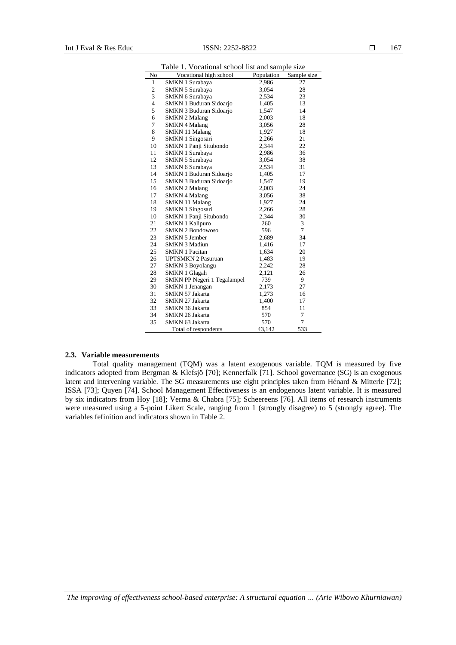|                         | raoic r.<br>vocational school has and sample size |            |                |  |  |  |  |  |
|-------------------------|---------------------------------------------------|------------|----------------|--|--|--|--|--|
| No                      | Vocational high school                            | Population | Sample size    |  |  |  |  |  |
| 1                       | SMKN 1 Surabaya                                   | 2,986      | 27             |  |  |  |  |  |
| $\mathbf{c}$            | <b>SMKN 5 Surabaya</b>                            | 3,054      | 28             |  |  |  |  |  |
| 3                       | <b>SMKN 6 Surabaya</b>                            | 2,534      | 23             |  |  |  |  |  |
| $\overline{\mathbf{4}}$ | SMKN 1 Buduran Sidoarjo                           | 1,405      | 13             |  |  |  |  |  |
| 5                       | <b>SMKN 3 Buduran Sidoarjo</b>                    | 1,547      | 14             |  |  |  |  |  |
| 6                       | <b>SMKN 2 Malang</b>                              | 2,003      | 18             |  |  |  |  |  |
| 7                       | <b>SMKN 4 Malang</b>                              | 3,056      | 28             |  |  |  |  |  |
| 8                       | <b>SMKN 11 Malang</b>                             | 1,927      | 18             |  |  |  |  |  |
| 9                       | SMKN 1 Singosari                                  | 2,266      | 21             |  |  |  |  |  |
| 10                      | SMKN 1 Panji Situbondo                            | 2,344      | 22             |  |  |  |  |  |
| 11                      | SMKN 1 Surabaya                                   | 2,986      | 36             |  |  |  |  |  |
| 12                      | <b>SMKN 5 Surabaya</b>                            | 3,054      | 38             |  |  |  |  |  |
| 13                      | <b>SMKN 6 Surabaya</b>                            | 2,534      | 31             |  |  |  |  |  |
| 14                      | SMKN 1 Buduran Sidoarjo                           | 1,405      | 17             |  |  |  |  |  |
| 15                      | SMKN 3 Buduran Sidoarjo                           | 1,547      | 19             |  |  |  |  |  |
| 16                      | <b>SMKN 2 Malang</b>                              | 2,003      | 24             |  |  |  |  |  |
| 17                      | <b>SMKN 4 Malang</b>                              | 3,056      | 38             |  |  |  |  |  |
| 18                      | <b>SMKN 11 Malang</b>                             | 1,927      | 24             |  |  |  |  |  |
| 19                      | <b>SMKN 1 Singosari</b>                           | 2,266      | 28             |  |  |  |  |  |
| 10                      | SMKN 1 Panji Situbondo                            | 2,344      | 30             |  |  |  |  |  |
| 21                      | <b>SMKN 1 Kalipuro</b>                            | 260        | 3              |  |  |  |  |  |
| 22                      | <b>SMKN 2 Bondowoso</b>                           | 596        | $\overline{7}$ |  |  |  |  |  |
| 23                      | <b>SMKN 5 Jember</b>                              | 2,689      | 34             |  |  |  |  |  |
| 24                      | <b>SMKN 3 Madiun</b>                              | 1,416      | 17             |  |  |  |  |  |
| 25                      | <b>SMKN 1 Pacitan</b>                             | 1,634      | 20             |  |  |  |  |  |
| 26                      | <b>UPTSMKN 2 Pasuruan</b>                         | 1,483      | 19             |  |  |  |  |  |
| 27                      | <b>SMKN 3 Boyolangu</b>                           | 2,242      | 28             |  |  |  |  |  |
| 28                      | <b>SMKN 1 Glagah</b>                              | 2,121      | 26             |  |  |  |  |  |
| 29                      | SMKN PP Negeri 1 Tegalampel                       | 739        | 9              |  |  |  |  |  |
| 30                      | SMKN 1 Jenangan                                   | 2,173      | 27             |  |  |  |  |  |
| 31                      | SMKN 57 Jakarta                                   | 1,273      | 16             |  |  |  |  |  |
| 32                      | SMKN 27 Jakarta                                   | 1,400      | 17             |  |  |  |  |  |
| 33                      | SMKN 36 Jakarta                                   | 854        | 11             |  |  |  |  |  |
| 34                      | SMKN 26 Jakarta                                   | 570        | 7              |  |  |  |  |  |
| 35                      | SMKN 63 Jakarta                                   | 570        | $\overline{7}$ |  |  |  |  |  |
|                         | Total of respondents                              | 43,142     | 533            |  |  |  |  |  |

Table 1. Vocational school list and sample size

#### **2.3. Variable measurements**

Total quality management (TQM) was a latent exogenous variable. TQM is measured by five indicators adopted from Bergman & Klefsjö [70]; Kennerfalk [71]. School governance (SG) is an exogenous latent and intervening variable. The SG measurements use eight principles taken from Hénard & Mitterle [72]; ISSA [73]; Quyen [74]. School Management Effectiveness is an endogenous latent variable. It is measured by six indicators from Hoy [18]; Verma & Chabra [75]; Scheereens [76]. All items of research instruments were measured using a 5-point Likert Scale, ranging from 1 (strongly disagree) to 5 (strongly agree). The variables fefinition and indicators shown in Table 2.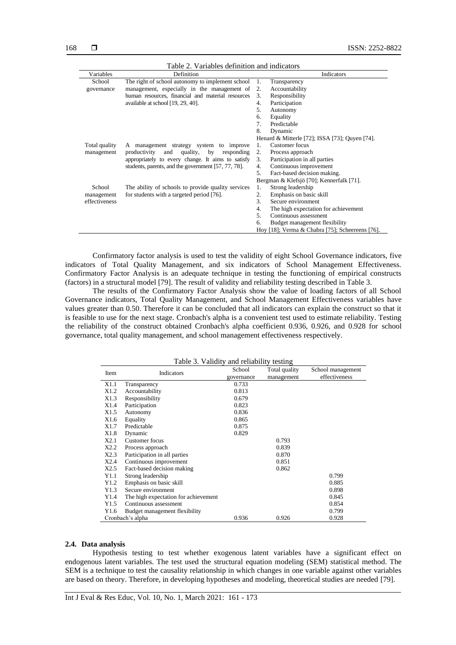| Table 2. Variables definition and indicators |                                                     |                                          |                                                 |  |  |  |
|----------------------------------------------|-----------------------------------------------------|------------------------------------------|-------------------------------------------------|--|--|--|
| Variables                                    | Definition                                          |                                          | Indicators                                      |  |  |  |
| School                                       | The right of school autonomy to implement school    | 1.                                       | Transparency                                    |  |  |  |
| governance                                   | management, especially in the management of         | 2.                                       | Accountability                                  |  |  |  |
|                                              | human resources, financial and material resources   | 3.                                       | Responsibility                                  |  |  |  |
|                                              | available at school [19, 29, 40].                   | 4.                                       | Participation                                   |  |  |  |
|                                              |                                                     | 5.                                       | Autonomy                                        |  |  |  |
|                                              |                                                     | 6.                                       | Equality                                        |  |  |  |
|                                              |                                                     | 7.                                       | Predictable                                     |  |  |  |
|                                              |                                                     | 8.                                       | Dynamic                                         |  |  |  |
|                                              |                                                     |                                          | Henard & Mitterle [72]; ISSA [73]; Quyen [74].  |  |  |  |
| Total quality                                | A management strategy system to improve             | 1.                                       | Customer focus                                  |  |  |  |
| management                                   | productivity<br>and<br>quality,<br>by<br>responding | 2.                                       | Process approach                                |  |  |  |
|                                              | appropriately to every change. It aims to satisfy   | 3.                                       | Participation in all parties                    |  |  |  |
|                                              | students, parents, and the government [57, 77, 78]. | 4.                                       | Continuous improvement                          |  |  |  |
|                                              |                                                     | 5.                                       | Fact-based decision making.                     |  |  |  |
|                                              |                                                     | Bergman & Klefsjö [70]; Kennerfalk [71]. |                                                 |  |  |  |
| School                                       | The ability of schools to provide quality services  | 1.                                       | Strong leadership                               |  |  |  |
| management                                   | for students with a targeted period [76].           | 2.                                       | Emphasis on basic skill                         |  |  |  |
| effectiveness                                |                                                     | $\mathcal{R}$                            | Secure environment                              |  |  |  |
|                                              |                                                     | 4.                                       | The high expectation for achievement            |  |  |  |
|                                              |                                                     | .5                                       | Continuous assessment                           |  |  |  |
|                                              |                                                     | 6.                                       | Budget management flexibility                   |  |  |  |
|                                              |                                                     |                                          | Hoy [18]; Verma & Chabra [75]; Scheereens [76]. |  |  |  |

Confirmatory factor analysis is used to test the validity of eight School Governance indicators, five indicators of Total Quality Management, and six indicators of School Management Effectiveness. Confirmatory Factor Analysis is an adequate technique in testing the functioning of empirical constructs (factors) in a structural model [79]. The result of validity and reliability testing described in Table 3.

The results of the Confirmatory Factor Analysis show the value of loading factors of all School Governance indicators, Total Quality Management, and School Management Effectiveness variables have values greater than 0.50. Therefore it can be concluded that all indicators can explain the construct so that it is feasible to use for the next stage. Cronbach's alpha is a convenient test used to estimate reliability. Testing the reliability of the construct obtained Cronbach's alpha coefficient 0.936, 0.926, and 0.928 for school governance, total quality management, and school management effectiveness respectively.

| Table 3. Validity and reliability testing |                                      |            |               |                   |  |  |
|-------------------------------------------|--------------------------------------|------------|---------------|-------------------|--|--|
| Item                                      | Indicators                           | School     | Total quality | School management |  |  |
|                                           |                                      | governance | management    | effectiveness     |  |  |
| X1.1                                      | Transparency                         | 0.733      |               |                   |  |  |
| X1.2                                      | Accountability                       | 0.813      |               |                   |  |  |
| X1.3                                      | Responsibility                       | 0.679      |               |                   |  |  |
| X1.4                                      | Participation                        | 0.823      |               |                   |  |  |
| X1.5                                      | Autonomy                             | 0.836      |               |                   |  |  |
| X1.6                                      | Equality                             | 0.865      |               |                   |  |  |
| X1.7                                      | Predictable                          | 0.875      |               |                   |  |  |
| X1.8                                      | Dynamic                              | 0.829      |               |                   |  |  |
| X2.1                                      | Customer focus                       |            | 0.793         |                   |  |  |
| X2.2                                      | Process approach                     |            | 0.839         |                   |  |  |
| X2.3                                      | Participation in all parties         |            | 0.870         |                   |  |  |
| X2.4                                      | Continuous improvement               |            | 0.851         |                   |  |  |
| X2.5                                      | Fact-based decision making           |            | 0.862         |                   |  |  |
| Y1.1                                      | Strong leadership                    |            |               | 0.799             |  |  |
| Y1.2                                      | Emphasis on basic skill              |            |               | 0.885             |  |  |
| Y1.3                                      | Secure environment                   |            |               | 0.898             |  |  |
| Y1.4                                      | The high expectation for achievement |            |               | 0.845             |  |  |
| Y1.5                                      | Continuous assessment                |            |               | 0.854             |  |  |
| Y1.6                                      | Budget management flexibility        |            |               | 0.799             |  |  |
|                                           | Cronbach's alpha                     | 0.936      | 0.926         | 0.928             |  |  |

#### **2.4. Data analysis**

Hypothesis testing to test whether exogenous latent variables have a significant effect on endogenous latent variables. The test used the structural equation modeling (SEM) statistical method. The SEM is a technique to test the causality relationship in which changes in one variable against other variables are based on theory. Therefore, in developing hypotheses and modeling, theoretical studies are needed [79].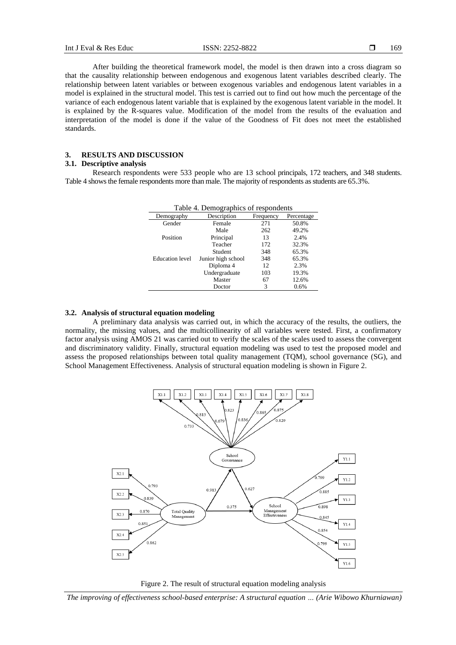After building the theoretical framework model, the model is then drawn into a cross diagram so that the causality relationship between endogenous and exogenous latent variables described clearly. The relationship between latent variables or between exogenous variables and endogenous latent variables in a model is explained in the structural model. This test is carried out to find out how much the percentage of the variance of each endogenous latent variable that is explained by the exogenous latent variable in the model. It is explained by the R-squares value. Modification of the model from the results of the evaluation and interpretation of the model is done if the value of the Goodness of Fit does not meet the established standards.

## **3. RESULTS AND DISCUSSION**

### **3.1. Descriptive analysis**

Research respondents were 533 people who are 13 school principals, 172 teachers, and 348 students. Table 4 shows the female respondents more than male. The majority of respondents as students are 65.3%.

| Table 4. Demographics of respondents |                    |           |            |  |  |  |
|--------------------------------------|--------------------|-----------|------------|--|--|--|
| Demography                           | Description        | Frequency | Percentage |  |  |  |
| Gender                               | Female             | 271       | 50.8%      |  |  |  |
|                                      | Male               | 262       | 49.2%      |  |  |  |
| Position                             | Principal          | 13        | 2.4%       |  |  |  |
|                                      | Teacher            | 172       | 32.3%      |  |  |  |
|                                      | Student            | 348       | 65.3%      |  |  |  |
| <b>Education</b> level               | Junior high school | 348       | 65.3%      |  |  |  |
|                                      | Diploma 4          | 12        | 2.3%       |  |  |  |
|                                      | Undergraduate      | 103       | 19.3%      |  |  |  |
|                                      | Master             | 67        | 12.6%      |  |  |  |
|                                      | Doctor             | 3         | 0.6%       |  |  |  |

#### **3.2. Analysis of structural equation modeling**

A preliminary data analysis was carried out, in which the accuracy of the results, the outliers, the normality, the missing values, and the multicollinearity of all variables were tested. First, a confirmatory factor analysis using AMOS 21 was carried out to verify the scales of the scales used to assess the convergent and discriminatory validity. Finally, structural equation modeling was used to test the proposed model and assess the proposed relationships between total quality management (TQM), school governance (SG), and School Management Effectiveness. Analysis of structural equation modeling is shown in Figure 2.



Figure 2. The result of structural equation modeling analysis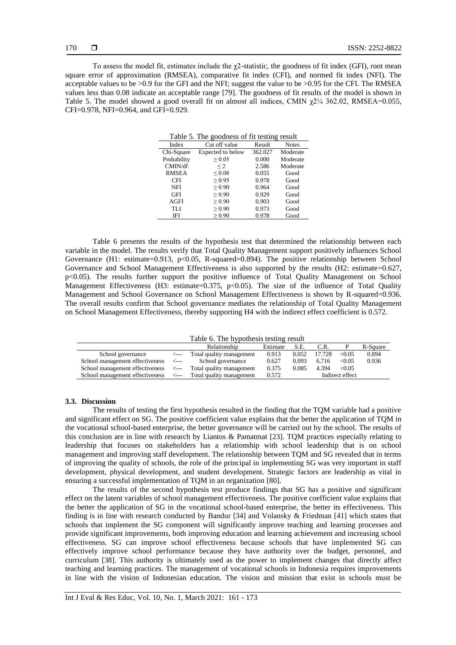To assess the model fit, estimates include the χ2-statistic, the goodness of fit index (GFI), root mean square error of approximation (RMSEA), comparative fit index (CFI), and normed fit index (NFI). The acceptable values to be >0.9 for the GFI and the NFI; suggest the value to be >0.95 for the CFI. The RMSEA values less than 0.08 indicate an acceptable range [79]. The goodness of fit results of the model is shown in Table 5. The model showed a good overall fit on almost all indices, CMIN  $\chi$ 2¼ 362.02, RMSEA=0.055, CFI=0.978, NFI=0.964, and GFI=0.929.

| Table 5. The goodness of fit testing result |                   |         |              |  |  |  |
|---------------------------------------------|-------------------|---------|--------------|--|--|--|
| Index                                       | Cut off value     | Result  | <b>Notes</b> |  |  |  |
| Chi-Square                                  | Expected to below | 362.027 | Moderate     |  |  |  |
| Probability                                 | > 0.05            | 0.000   | Moderate     |  |  |  |
| CMIN/df                                     | $\leq$ 2          | 2.586   | Moderate     |  |  |  |
| <b>RMSEA</b>                                | ${}_{0.08}$       | 0.055   | Good         |  |  |  |
| <b>CFI</b>                                  | > 0.95            | 0.978   | Good         |  |  |  |
| <b>NFI</b>                                  | > 0.90            | 0.964   | Good         |  |  |  |
| <b>GFI</b>                                  | > 0.90            | 0.929   | Good         |  |  |  |
| AGFI                                        | > 0.90            | 0.903   | Good         |  |  |  |
| TLI                                         | $\geq 0.90$       | 0.973   | Good         |  |  |  |
| IFI                                         | > 0.90            | 0.978   | Good         |  |  |  |

Table 6 presents the results of the hypothesis test that determined the relationship between each variable in the model. The results verify that Total Quality Management support positively influences School Governance (H1: estimate=0.913, p<0.05, R-squared=0.894). The positive relationship between School Governance and School Management Effectiveness is also supported by the results (H2: estimate=0.627, p<0.05). The results further support the positive influence of Total Quality Management on School Management Effectiveness (H3: estimate=0.375, p<0.05). The size of the influence of Total Quality Management and School Governance on School Management Effectiveness is shown by R-squared=0.936. The overall results confirm that School governance mediates the relationship of Total Quality Management on School Management Effectiveness, thereby supporting H4 with the indirect effect coefficient is 0.572.

Table 6. The hypothesis testing result

|                                      |      | Relationship             | Estimate | S.E.  | C.R.   |                 | R-Square |
|--------------------------------------|------|--------------------------|----------|-------|--------|-----------------|----------|
| School governance                    | <--- | Total quality management | 0.913    | 0.052 | 17.728 | <0.05           | 0.894    |
| School management effectiveness <--- |      | School governance        | 0.627    | 0.093 | 6.716  | <0.05           | 0.936    |
| School management effectiveness <--- |      | Total quality management | 0.375    | 0.085 | 4.394  | <0.05           |          |
| School management effectiveness <--- |      | Total quality management | 0.572    |       |        | Indirect effect |          |

#### **3.3. Discussion**

The results of testing the first hypothesis resulted in the finding that the TQM variable had a positive and significant effect on SG. The positive coefficient value explains that the better the application of TQM in the vocational school-based enterprise, the better governance will be carried out by the school. The results of this conclusion are in line with research by Liantos & Pamatmat [23]. TQM practices especially relating to leadership that focuses on stakeholders has a relationship with school leadership that is on school management and improving staff development. The relationship between TQM and SG revealed that in terms of improving the quality of schools, the role of the principal in implementing SG was very important in staff development, physical development, and student development. Strategic factors are leadership as vital in ensuring a successful implementation of TQM in an organization [80].

The results of the second hypothesis test produce findings that SG has a positive and significant effect on the latent variables of school management effectiveness. The positive coefficient value explains that the better the application of SG in the vocational school-based enterprise, the better its effectiveness. This finding is in line with research conducted by Bandur [34] and Volansky & Friedman [41] which states that schools that implement the SG component will significantly improve teaching and learning processes and provide significant improvements, both improving education and learning achievement and increasing school effectiveness. SG can improve school effectiveness because schools that have implemented SG can effectively improve school performance because they have authority over the budget, personnel, and curriculum [38]. This authority is ultimately used as the power to implement changes that directly affect teaching and learning practices. The management of vocational schools in Indonesia requires improvements in line with the vision of Indonesian education. The vision and mission that exist in schools must be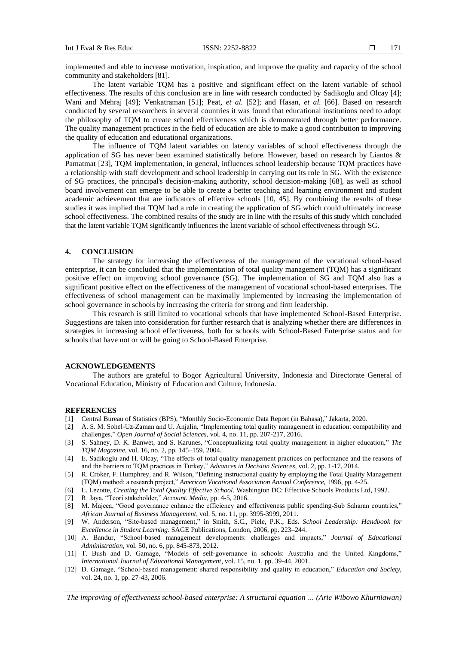implemented and able to increase motivation, inspiration, and improve the quality and capacity of the school community and stakeholders [81].

The latent variable TQM has a positive and significant effect on the latent variable of school effectiveness. The results of this conclusion are in line with research conducted by Sadikoglu and Olcay [4]; Wani and Mehraj [49]; Venkatraman [51]; Peat, *et al.* [52]; and Hasan, *et al.* [66]. Based on research conducted by several researchers in several countries it was found that educational institutions need to adopt the philosophy of TQM to create school effectiveness which is demonstrated through better performance. The quality management practices in the field of education are able to make a good contribution to improving the quality of education and educational organizations.

The influence of TQM latent variables on latency variables of school effectiveness through the application of SG has never been examined statistically before. However, based on research by Liantos & Pamatmat [23], TQM implementation, in general, influences school leadership because TQM practices have a relationship with staff development and school leadership in carrying out its role in SG. With the existence of SG practices, the principal's decision-making authority, school decision-making [68], as well as school board involvement can emerge to be able to create a better teaching and learning environment and student academic achievement that are indicators of effective schools [10, 45]. By combining the results of these studies it was implied that TQM had a role in creating the application of SG which could ultimately increase school effectiveness. The combined results of the study are in line with the results of this study which concluded that the latent variable TQM significantly influences the latent variable of school effectiveness through SG.

#### **4. CONCLUSION**

The strategy for increasing the effectiveness of the management of the vocational school-based enterprise, it can be concluded that the implementation of total quality management (TQM) has a significant positive effect on improving school governance (SG). The implementation of SG and TQM also has a significant positive effect on the effectiveness of the management of vocational school-based enterprises. The effectiveness of school management can be maximally implemented by increasing the implementation of school governance in schools by increasing the criteria for strong and firm leadership.

This research is still limited to vocational schools that have implemented School-Based Enterprise. Suggestions are taken into consideration for further research that is analyzing whether there are differences in strategies in increasing school effectiveness, both for schools with School-Based Enterprise status and for schools that have not or will be going to School-Based Enterprise.

### **ACKNOWLEDGEMENTS**

The authors are grateful to Bogor Agricultural University, Indonesia and Directorate General of Vocational Education, Ministry of Education and Culture, Indonesia.

#### **REFERENCES**

- [1] Central Bureau of Statistics (BPS), "Monthly Socio-Economic Data Report (in Bahasa)," Jakarta, 2020.
- [2] A. S. M. Sohel-Uz-Zaman and U. Anjalin, "Implementing total quality management in education: compatibility and challenges," *Open Journal of Social Sciences*, vol. 4, no. 11, pp. 207-217, 2016.
- [3] S. Sahney, D. K. Banwet, and S. Karunes, "Conceptualizing total quality management in higher education," *The TQM Magazine*, vol. 16, no. 2, pp. 145–159, 2004.
- [4] E. Sadikoglu and H. Olcay, "The effects of total quality management practices on performance and the reasons of and the barriers to TQM practices in Turkey," *Advances in Decision Sciences*, vol. 2, pp. 1-17, 2014.
- [5] R. Croker, F. Humphrey, and R. Wilson, "Defining instructional quality by employing the Total Quality Management (TQM) method: a research project," *American Vocational Association Annual Conference*, 1996, pp. 4-25.
- [6] L. Lezotte, *Creating the Total Quality Effective School*. Washington DC: Effective Schools Products Ltd, 1992.
- [7] R. Jaya, "Teori stakeholder," *Account. Media*, pp. 4-5, 2016.
- [8] M. Majeca, "Good governance enhance the efficiency and effectiveness public spending-Sub Saharan countries," *African Journal of Business Management*, vol. 5, no. 11, pp. 3995-3999, 2011.
- [9] W. Anderson, "Site-based management," in Smith, S.C., Piele, P.K., Eds. *School Leadership: Handbook for Excellence in Student Learning*. SAGE Publications, London, 2006, pp. 223–244.
- [10] A. Bandur, "School-based management developments: challenges and impacts," *Journal of Educational Administration*, vol. 50, no. 6, pp. 845-873, 2012.
- [11] T. Bush and D. Gamage, "Models of self-governance in schools: Australia and the United Kingdoms," *International Journal of Educational Management*, vol. 15, no. 1, pp. 39-44, 2001.
- [12] D. Gamage, "School-based management: shared responsibility and quality in education," *Education and Society*, vol. 24, no. 1, pp. 27-43, 2006.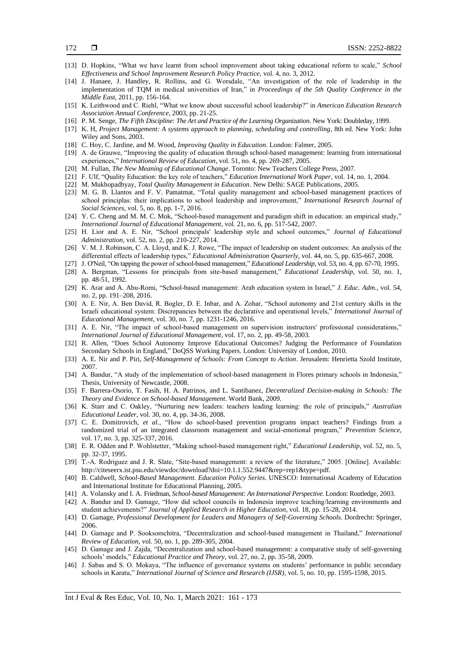- [13] D. Hopkins, "What we have learnt from school improvement about taking educational reform to scale," *School Effectiveness and School Improvement Research Policy Practice,* vol. 4, no. 3, 2012.
- [14] J. Hanaee, J. Handley, R. Rollins, and G. Worsdale, "An investigation of the role of leadership in the implementation of TQM in medical universities of Iran," in *Proceedings of the 5th Quality Conference in the Middle East*, 2011, pp. 156-164.
- [15] K. Leithwood and C. Riehl, "What we know about successful school leadership?" in *American Education Research Association Annual Conference*, 2003, pp. 21-25.
- [16] P. M. Senge, *The Fifth Discipline: The Art and Practice of the Learning Organization*. New York: Doubleday, 1999.
- [17] K. H, *Project Management: A systems approach to planning, scheduling and controlling*, 8th ed. New York: John Wiley and Sons, 2003.
- [18] C. Hoy, C. Jardine, and M. Wood, *Improving Quality in Education*. London: Falmer, 2005.
- [19] A. de Grauwe, "Improving the quality of education through school-based management: learning from international experiences," *International Review of Education*, vol. 51, no. 4, pp. 269-287, 2005.
- [20] M. Fullan, *The New Meaning of Educational Change*. Toronto: New Teachers College Press, 2007.
- [21] F. Ulf, "Quality Education: the key role of teachers," *Education International Work Paper*, vol. 14, no. 1, 2004.
- [22] M. Mukhopadhyay, *Total Quality Management in Education*. New Delhi: SAGE Publications, 2005.
- [23] M. G. B. Llantos and F. V. Pamatmat, "Total quality management and school-based management practices of school principlas: their implications to school leadership and improvement," *International Research Journal of Social Sciences*, vol. 5, no. 8, pp. 1-7, 2016.
- [24] Y. C. Cheng and M. M. C. Mok, "School-based management and paradigm shift in education: an empirical study," *International Journal of Educational Management*, vol. 21, no. 6, pp. 517-542, 2007.
- [25] H. Lior and A. E. Nir, "School principals' leadership style and school outcomes," *Journal of Educational Administration*, vol. 52, no. 2, pp. 210-227, 2014.
- [26] V. M. J. Robinson, C. A. Lloyd, and K. J. Rowe, "The impact of leadership on student outcomes: An analysis of the differential effects of leadership types," *Educational Administration Quarterly*, vol. 44, no. 5, pp. 635-667, 2008.
- [27] J. O'Neil, "On tapping the power of school-based management," *Educational Leadership*, vol. 53, no. 4, pp. 67-70, 1995.
- [28] A. Bergman, "Lessons for principals from site-based management," *Educational Leadership*, vol. 50, no. 1, pp. 48-51, 1992.
- [29] K. Arar and A. Abu-Romi, "School-based management: Arab education system in Israel," *J. Educ. Adm.*, vol. 54, no. 2, pp. 191–208, 2016.
- [30] A. E. Nir, A. Ben David, R. Bogler, D. E. Inbar, and A. Zohar, "School autonomy and 21st century skills in the Israeli educational system: Discrepancies between the declarative and operational levels," *International Journal of Educational Management*, vol. 30, no. 7, pp. 1231-1246, 2016.
- [31] A. E. Nir, "The impact of school-based management on supervision instructors' professional considerations," *International Journal of Educational Management*, vol. 17, no. 2, pp. 49-58, 2003.
- [32] R. Allen, "Does School Autonomy Improve Educational Outcomes? Judging the Performance of Foundation Secondary Schools in England," DoQSS Working Papers. London: University of London, 2010.
- [33] A. E. Nir and P. Piri, *Self-Management of Schools: From Concept to Action*. Jerusalem: Henrietta Szold Institute, 2007.
- [34] A. Bandur, "A study of the implementation of school-based management in Flores primary schools in Indonesia," Thesis, University of Newcastle, 2008.
- [35] F. Barrera-Osorio, T. Fasih, H. A. Patrinos, and L. Santibanez, *Decentralized Decision-making in Schools: The Theory and Evidence on School-based Management*. World Bank, 2009.
- [36] K. Starr and C. Oakley, "Nurturing new leaders: teachers leading learning: the role of principals," *Australian Educational Leader*, vol. 30, no. 4, pp. 34-36, 2008.
- [37] C. E. Domitrovich, *et al.*, "How do school-based prevention programs impact teachers? Findings from a randomized trial of an integrated classroom management and social-emotional program," *Prevention Science*, vol. 17, no. 3, pp. 325-337, 2016.
- [38] E. R. Odden and P. Wohlstetter, "Making school-based management right," *Educational Leadership*, vol. 52, no. 5, pp. 32-37, 1995.
- [39] T.-A. Rodriguez and J. R. Slate, "Site-based management: a review of the literature," 2005. [Online]. Available: http://citeseerx.ist.psu.edu/viewdoc/download?doi=10.1.1.552.9447&rep=rep1&type=pdf.
- [40] B. Caldwell, *School-Based Management. Education Policy Series*. UNESCO: International Academy of Education and International Institute for Educational Planning, 2005.
- [41] A. Volansky and I. A. Friedman, *School-based Management: An International Perspective*. London: Routledge, 2003.
- [42] A. Bandur and D. Gamage, "How did school councils in Indonesia improve teaching/learning environments and student achievements?" *Journal of Applied Research in Higher Education*, vol. 18, pp. 15-28, 2014.
- [43] D. Gamage, *Professional Development for Leaders and Managers of Self-Governing Schools*. Dordrecht: Springer, 2006.
- [44] D. Gamage and P. Sooksomchitra, "Decentralization and school-based management in Thailand," *International Review of Education*, vol. 50, no. 1, pp. 289-305, 2004.
- [45] D. Gamage and J. Zajda, "Decentralization and school-based management: a comparative study of self-governing schools' models," *Educational Practice and Theory*, vol. 27, no. 2, pp. 35-58, 2009.
- [46] J. Sabas and S. O. Mokaya, "The influence of governance systems on students' performance in public secondary schools in Karatu," *International Journal of Science and Research (IJSR)*, vol. 5, no. 10, pp. 1595-1598, 2015.